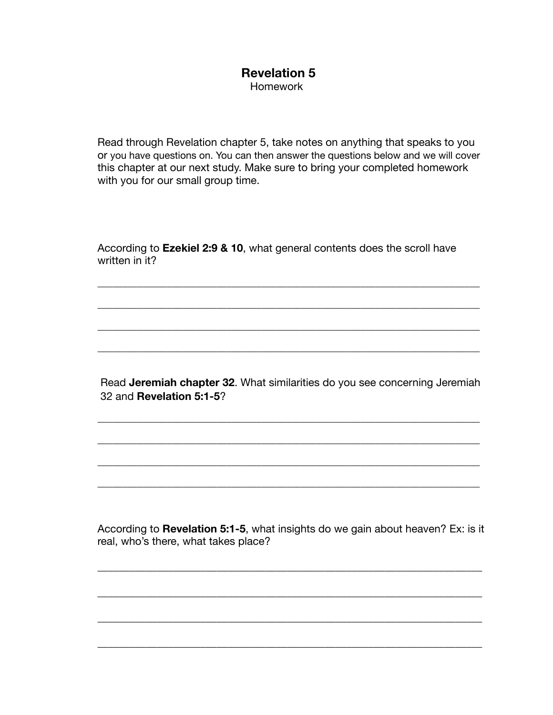## **Revelation 5**  Homework

Read through Revelation chapter 5, take notes on anything that speaks to you or you have questions on. You can then answer the questions below and we will cover this chapter at our next study. Make sure to bring your completed homework with you for our small group time.

According to **Ezekiel 2:9 & 10**, what general contents does the scroll have written in it?

\_\_\_\_\_\_\_\_\_\_\_\_\_\_\_\_\_\_\_\_\_\_\_\_\_\_\_\_\_\_\_\_\_\_\_\_\_\_\_\_\_\_\_\_\_\_\_\_\_\_\_\_\_\_\_\_\_\_\_\_\_\_\_\_\_\_\_\_\_\_\_\_\_\_\_\_\_

\_\_\_\_\_\_\_\_\_\_\_\_\_\_\_\_\_\_\_\_\_\_\_\_\_\_\_\_\_\_\_\_\_\_\_\_\_\_\_\_\_\_\_\_\_\_\_\_\_\_\_\_\_\_\_\_\_\_\_\_\_\_\_\_\_\_\_\_\_\_\_\_\_\_\_\_\_

\_\_\_\_\_\_\_\_\_\_\_\_\_\_\_\_\_\_\_\_\_\_\_\_\_\_\_\_\_\_\_\_\_\_\_\_\_\_\_\_\_\_\_\_\_\_\_\_\_\_\_\_\_\_\_\_\_\_\_\_\_\_\_\_\_\_\_\_\_\_\_\_\_\_\_\_\_

\_\_\_\_\_\_\_\_\_\_\_\_\_\_\_\_\_\_\_\_\_\_\_\_\_\_\_\_\_\_\_\_\_\_\_\_\_\_\_\_\_\_\_\_\_\_\_\_\_\_\_\_\_\_\_\_\_\_\_\_\_\_\_\_\_\_\_\_\_\_\_\_\_\_\_\_\_

 Read **Jeremiah chapter 32**. What similarities do you see concerning Jeremiah 32 and **Revelation 5:1-5**?

\_\_\_\_\_\_\_\_\_\_\_\_\_\_\_\_\_\_\_\_\_\_\_\_\_\_\_\_\_\_\_\_\_\_\_\_\_\_\_\_\_\_\_\_\_\_\_\_\_\_\_\_\_\_\_\_\_\_\_\_\_\_\_\_\_\_\_\_\_\_\_\_\_\_\_\_\_

\_\_\_\_\_\_\_\_\_\_\_\_\_\_\_\_\_\_\_\_\_\_\_\_\_\_\_\_\_\_\_\_\_\_\_\_\_\_\_\_\_\_\_\_\_\_\_\_\_\_\_\_\_\_\_\_\_\_\_\_\_\_\_\_\_\_\_\_\_\_\_\_\_\_\_\_\_

\_\_\_\_\_\_\_\_\_\_\_\_\_\_\_\_\_\_\_\_\_\_\_\_\_\_\_\_\_\_\_\_\_\_\_\_\_\_\_\_\_\_\_\_\_\_\_\_\_\_\_\_\_\_\_\_\_\_\_\_\_\_\_\_\_\_\_\_\_\_\_\_\_\_\_\_\_

\_\_\_\_\_\_\_\_\_\_\_\_\_\_\_\_\_\_\_\_\_\_\_\_\_\_\_\_\_\_\_\_\_\_\_\_\_\_\_\_\_\_\_\_\_\_\_\_\_\_\_\_\_\_\_\_\_\_\_\_\_\_\_\_\_\_\_\_\_\_\_\_\_\_\_\_\_

According to **Revelation 5:1-5**, what insights do we gain about heaven? Ex: is it real, who's there, what takes place?

\_\_\_\_\_\_\_\_\_\_\_\_\_\_\_\_\_\_\_\_\_\_\_\_\_\_\_\_\_\_\_\_\_\_\_\_\_\_\_\_\_\_\_\_\_\_\_\_\_\_\_\_\_\_\_\_\_\_\_\_\_\_\_\_\_\_\_\_\_\_\_

\_\_\_\_\_\_\_\_\_\_\_\_\_\_\_\_\_\_\_\_\_\_\_\_\_\_\_\_\_\_\_\_\_\_\_\_\_\_\_\_\_\_\_\_\_\_\_\_\_\_\_\_\_\_\_\_\_\_\_\_\_\_\_\_\_\_\_\_\_\_\_

\_\_\_\_\_\_\_\_\_\_\_\_\_\_\_\_\_\_\_\_\_\_\_\_\_\_\_\_\_\_\_\_\_\_\_\_\_\_\_\_\_\_\_\_\_\_\_\_\_\_\_\_\_\_\_\_\_\_\_\_\_\_\_\_\_\_\_\_\_\_\_

\_\_\_\_\_\_\_\_\_\_\_\_\_\_\_\_\_\_\_\_\_\_\_\_\_\_\_\_\_\_\_\_\_\_\_\_\_\_\_\_\_\_\_\_\_\_\_\_\_\_\_\_\_\_\_\_\_\_\_\_\_\_\_\_\_\_\_\_\_\_\_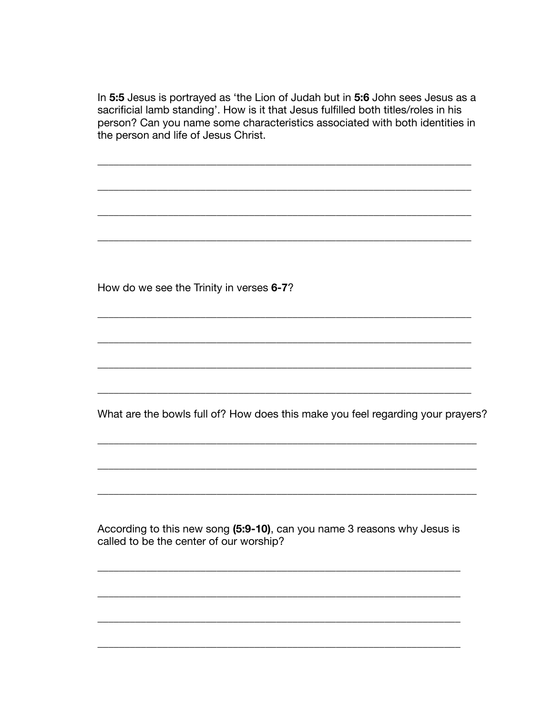In 5:5 Jesus is portrayed as 'the Lion of Judah but in 5:6 John sees Jesus as a sacrificial lamb standing'. How is it that Jesus fulfilled both titles/roles in his person? Can you name some characteristics associated with both identities in the person and life of Jesus Christ.

How do we see the Trinity in verses 6-7?

What are the bowls full of? How does this make you feel regarding your prayers?

According to this new song (5:9-10), can you name 3 reasons why Jesus is called to be the center of our worship?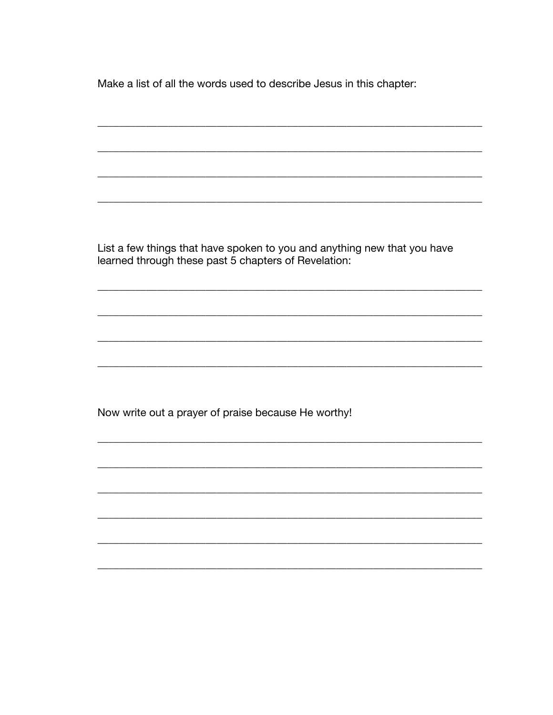Make a list of all the words used to describe Jesus in this chapter:

List a few things that have spoken to you and anything new that you have learned through these past 5 chapters of Revelation:

Now write out a prayer of praise because He worthy!